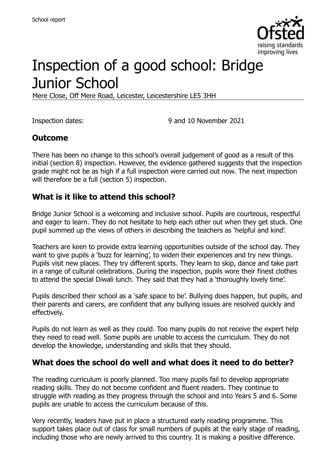

# Inspection of a good school: Bridge Junior School

Mere Close, Off Mere Road, Leicester, Leicestershire LE5 3HH

Inspection dates: 9 and 10 November 2021

#### **Outcome**

There has been no change to this school's overall judgement of good as a result of this initial (section 8) inspection. However, the evidence gathered suggests that the inspection grade might not be as high if a full inspection were carried out now. The next inspection will therefore be a full (section 5) inspection.

### **What is it like to attend this school?**

Bridge Junior School is a welcoming and inclusive school. Pupils are courteous, respectful and eager to learn. They do not hesitate to help each other out when they get stuck. One pupil summed up the views of others in describing the teachers as 'helpful and kind'.

Teachers are keen to provide extra learning opportunities outside of the school day. They want to give pupils a 'buzz for learning', to widen their experiences and try new things. Pupils visit new places. They try different sports. They learn to skip, dance and take part in a range of cultural celebrations. During the inspection, pupils wore their finest clothes to attend the special Diwali lunch. They said that they had a 'thoroughly lovely time'.

Pupils described their school as a 'safe space to be'. Bullying does happen, but pupils, and their parents and carers, are confident that any bullying issues are resolved quickly and effectively.

Pupils do not learn as well as they could. Too many pupils do not receive the expert help they need to read well. Some pupils are unable to access the curriculum. They do not develop the knowledge, understanding and skills that they should.

#### **What does the school do well and what does it need to do better?**

The reading curriculum is poorly planned. Too many pupils fail to develop appropriate reading skills. They do not become confident and fluent readers. They continue to struggle with reading as they progress through the school and into Years 5 and 6. Some pupils are unable to access the curriculum because of this.

Very recently, leaders have put in place a structured early reading programme. This support takes place out of class for small numbers of pupils at the early stage of reading, including those who are newly arrived to this country. It is making a positive difference.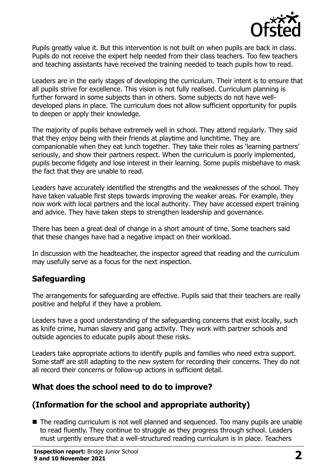

Pupils greatly value it. But this intervention is not built on when pupils are back in class. Pupils do not receive the expert help needed from their class teachers. Too few teachers and teaching assistants have received the training needed to teach pupils how to read.

Leaders are in the early stages of developing the curriculum. Their intent is to ensure that all pupils strive for excellence. This vision is not fully realised. Curriculum planning is further forward in some subjects than in others. Some subjects do not have welldeveloped plans in place. The curriculum does not allow sufficient opportunity for pupils to deepen or apply their knowledge.

The majority of pupils behave extremely well in school. They attend regularly. They said that they enjoy being with their friends at playtime and lunchtime. They are companionable when they eat lunch together. They take their roles as 'learning partners' seriously, and show their partners respect. When the curriculum is poorly implemented, pupils become fidgety and lose interest in their learning. Some pupils misbehave to mask the fact that they are unable to read.

Leaders have accurately identified the strengths and the weaknesses of the school. They have taken valuable first steps towards improving the weaker areas. For example, they now work with local partners and the local authority. They have accessed expert training and advice. They have taken steps to strengthen leadership and governance.

There has been a great deal of change in a short amount of time. Some teachers said that these changes have had a negative impact on their workload.

In discussion with the headteacher, the inspector agreed that reading and the curriculum may usefully serve as a focus for the next inspection.

# **Safeguarding**

The arrangements for safeguarding are effective. Pupils said that their teachers are really positive and helpful if they have a problem.

Leaders have a good understanding of the safeguarding concerns that exist locally, such as knife crime, human slavery and gang activity. They work with partner schools and outside agencies to educate pupils about these risks.

Leaders take appropriate actions to identify pupils and families who need extra support. Some staff are still adapting to the new system for recording their concerns. They do not all record their concerns or follow-up actions in sufficient detail.

# **What does the school need to do to improve?**

# **(Information for the school and appropriate authority)**

■ The reading curriculum is not well planned and sequenced. Too many pupils are unable to read fluently. They continue to struggle as they progress through school. Leaders must urgently ensure that a well-structured reading curriculum is in place. Teachers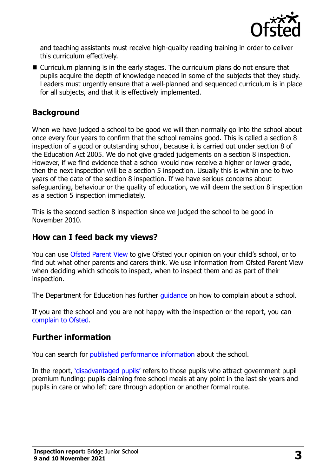

and teaching assistants must receive high-quality reading training in order to deliver this curriculum effectively.

■ Curriculum planning is in the early stages. The curriculum plans do not ensure that pupils acquire the depth of knowledge needed in some of the subjects that they study. Leaders must urgently ensure that a well-planned and sequenced curriculum is in place for all subjects, and that it is effectively implemented.

#### **Background**

When we have judged a school to be good we will then normally go into the school about once every four years to confirm that the school remains good. This is called a section 8 inspection of a good or outstanding school, because it is carried out under section 8 of the Education Act 2005. We do not give graded judgements on a section 8 inspection. However, if we find evidence that a school would now receive a higher or lower grade, then the next inspection will be a section 5 inspection. Usually this is within one to two years of the date of the section 8 inspection. If we have serious concerns about safeguarding, behaviour or the quality of education, we will deem the section 8 inspection as a section 5 inspection immediately.

This is the second section 8 inspection since we judged the school to be good in November 2010.

# **How can I feed back my views?**

You can use [Ofsted Parent View](https://parentview.ofsted.gov.uk/) to give Ofsted your opinion on your child's school, or to find out what other parents and carers think. We use information from Ofsted Parent View when deciding which schools to inspect, when to inspect them and as part of their inspection.

The Department for Education has further quidance on how to complain about a school.

If you are the school and you are not happy with the inspection or the report, you can [complain to Ofsted.](https://www.gov.uk/complain-ofsted-report)

#### **Further information**

You can search for [published performance information](http://www.compare-school-performance.service.gov.uk/) about the school.

In the report, '[disadvantaged pupils](http://www.gov.uk/guidance/pupil-premium-information-for-schools-and-alternative-provision-settings)' refers to those pupils who attract government pupil premium funding: pupils claiming free school meals at any point in the last six years and pupils in care or who left care through adoption or another formal route.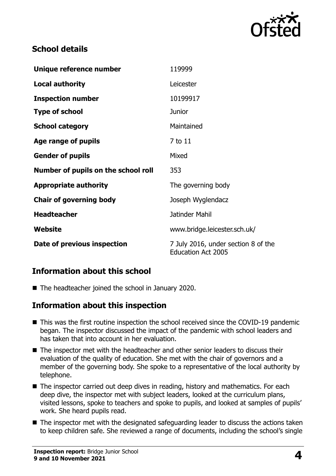

# **School details**

| Unique reference number             | 119999                                                           |
|-------------------------------------|------------------------------------------------------------------|
| <b>Local authority</b>              | Leicester                                                        |
| <b>Inspection number</b>            | 10199917                                                         |
| <b>Type of school</b>               | <b>Junior</b>                                                    |
| <b>School category</b>              | Maintained                                                       |
| Age range of pupils                 | 7 to 11                                                          |
| <b>Gender of pupils</b>             | Mixed                                                            |
| Number of pupils on the school roll | 353                                                              |
| <b>Appropriate authority</b>        | The governing body                                               |
| <b>Chair of governing body</b>      | Joseph Wyglendacz                                                |
| <b>Headteacher</b>                  | Jatinder Mahil                                                   |
| Website                             | www.bridge.leicester.sch.uk/                                     |
| Date of previous inspection         | 7 July 2016, under section 8 of the<br><b>Education Act 2005</b> |

#### **Information about this school**

■ The headteacher joined the school in January 2020.

# **Information about this inspection**

- This was the first routine inspection the school received since the COVID-19 pandemic began. The inspector discussed the impact of the pandemic with school leaders and has taken that into account in her evaluation.
- The inspector met with the headteacher and other senior leaders to discuss their evaluation of the quality of education. She met with the chair of governors and a member of the governing body. She spoke to a representative of the local authority by telephone.
- The inspector carried out deep dives in reading, history and mathematics. For each deep dive, the inspector met with subject leaders, looked at the curriculum plans, visited lessons, spoke to teachers and spoke to pupils, and looked at samples of pupils' work. She heard pupils read.
- The inspector met with the designated safeguarding leader to discuss the actions taken to keep children safe. She reviewed a range of documents, including the school's single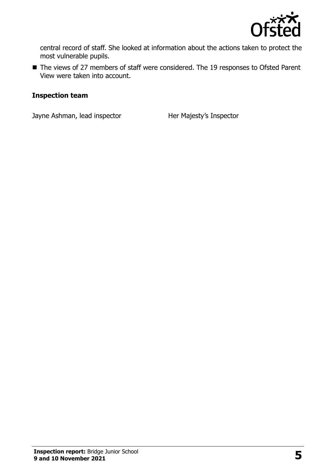

central record of staff. She looked at information about the actions taken to protect the most vulnerable pupils.

■ The views of 27 members of staff were considered. The 19 responses to Ofsted Parent View were taken into account.

#### **Inspection team**

Jayne Ashman, lead inspector **Her Majesty's Inspector**